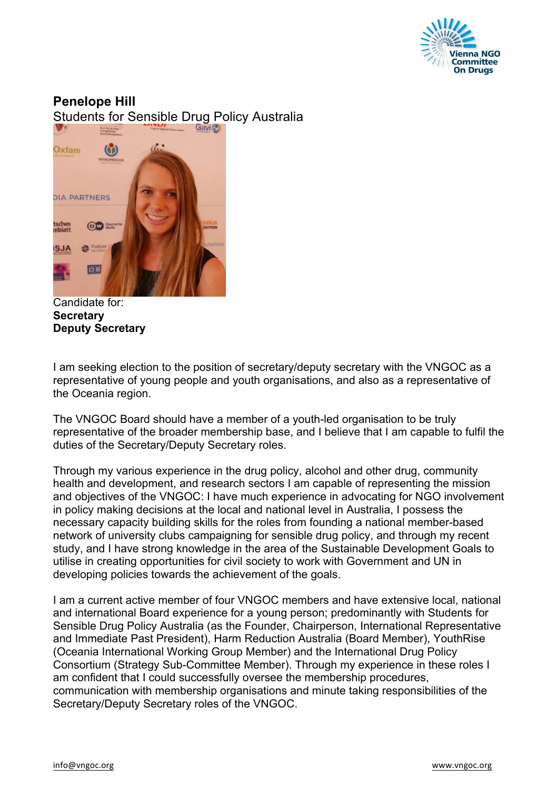

## **Penelope Hill**

Students for Sensible Drug Policy Australia



Candidate for: **Secretary Deputy Secretary**

I am seeking election to the position of secretary/deputy secretary with the VNGOC as a representative of young people and youth organisations, and also as a representative of the Oceania region.

The VNGOC Board should have a member of a youth-led organisation to be truly representative of the broader membership base, and I believe that I am capable to fulfil the duties of the Secretary/Deputy Secretary roles.

Through my various experience in the drug policy, alcohol and other drug, community health and development, and research sectors I am capable of representing the mission and objectives of the VNGOC: I have much experience in advocating for NGO involvement in policy making decisions at the local and national level in Australia, I possess the necessary capacity building skills for the roles from founding a national member-based network of university clubs campaigning for sensible drug policy, and through my recent study, and I have strong knowledge in the area of the Sustainable Development Goals to utilise in creating opportunities for civil society to work with Government and UN in developing policies towards the achievement of the goals.

I am a current active member of four VNGOC members and have extensive local, national and international Board experience for a young person; predominantly with Students for Sensible Drug Policy Australia (as the Founder, Chairperson, International Representative and Immediate Past President), Harm Reduction Australia (Board Member), YouthRise (Oceania International Working Group Member) and the International Drug Policy Consortium (Strategy Sub-Committee Member). Through my experience in these roles I am confident that I could successfully oversee the membership procedures, communication with membership organisations and minute taking responsibilities of the Secretary/Deputy Secretary roles of the VNGOC.